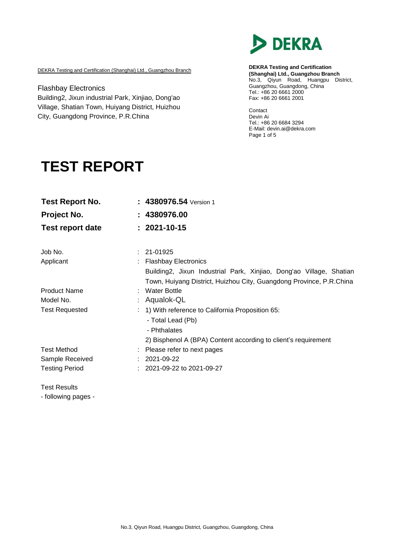

DEKRA Testing and Certification (Shanghai) Ltd., Guangzhou Branch

Flashbay Electronics Building2, Jixun industrial Park, Xinjiao, Dong'ao Village, Shatian Town, Huiyang District, Huizhou City, Guangdong Province, P.R.China

**DEKRA Testing and Certification (Shanghai) Ltd., Guangzhou Branch** No.3, Qiyun Road, Huangpu District, Guangzhou, Guangdong, China Tel.: +86 20 6661 2000 Fax: +86 20 6661 2001

Contact Devin Ai Tel.: +86 20 6684 3294 E-Mail: [devin.ai@dekra.com](mailto:devin.ai@dekra.com) Page 1 of 5

# **TEST REPORT**

| <b>Test Report No.</b> | $: 4380976.54$ Version 1                                            |
|------------------------|---------------------------------------------------------------------|
| Project No.            | : 4380976.00                                                        |
| Test report date       | $: 2021 - 10 - 15$                                                  |
| Job No.                | $: 21-01925$                                                        |
| Applicant              | <b>Flashbay Electronics</b>                                         |
|                        | Building2, Jixun Industrial Park, Xinjiao, Dong'ao Village, Shatian |
|                        | Town, Huiyang District, Huizhou City, Guangdong Province, P.R.China |
| <b>Product Name</b>    | : Water Bottle                                                      |
| Model No.              | Aqualok-QL                                                          |
| <b>Test Requested</b>  | : 1) With reference to California Proposition 65:                   |
|                        | - Total Lead (Pb)                                                   |
|                        | - Phthalates                                                        |
|                        | 2) Bisphenol A (BPA) Content according to client's requirement      |
| <b>Test Method</b>     | Please refer to next pages                                          |
| Sample Received        | 2021-09-22                                                          |
| <b>Testing Period</b>  | $: 2021 - 09 - 22$ to 2021-09-27                                    |
| <b>Test Results</b>    |                                                                     |

- following pages -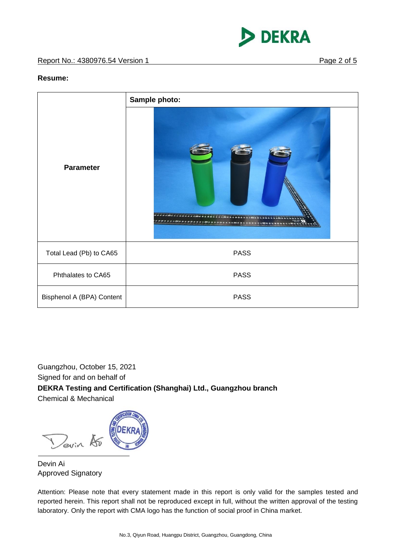

#### **Resume:**



Guangzhou, October 15, 2021 Signed for and on behalf of **DEKRA Testing and Certification (Shanghai) Ltd., Guangzhou branch** Chemical & Mechanical

Devin A

Devin Ai Approved Signatory

Attention: Please note that every statement made in this report is only valid for the samples tested and reported herein. This report shall not be reproduced except in full, without the written approval of the testing laboratory. Only the report with CMA logo has the function of social proof in China market.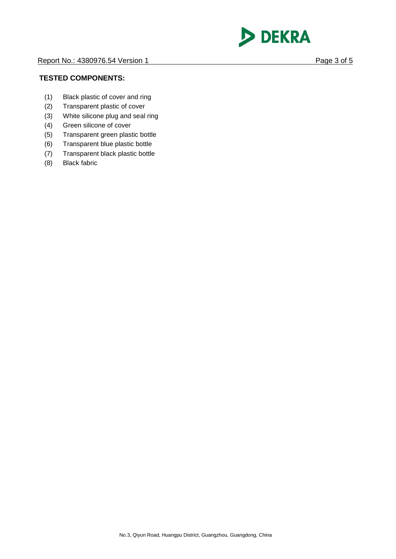

### **TESTED COMPONENTS:**

- (1) Black plastic of cover and ring
- (2) Transparent plastic of cover
- (3) White silicone plug and seal ring
- (4) Green silicone of cover
- (5) Transparent green plastic bottle
- (6) Transparent blue plastic bottle
- (7) Transparent black plastic bottle
- (8) Black fabric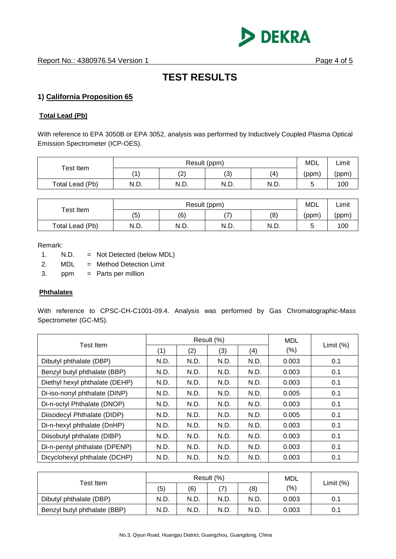

## **TEST RESULTS**

#### **1) California Proposition 65**

#### **Total Lead (Pb)**

With reference to EPA 3050B or EPA 3052, analysis was performed by Inductively Coupled Plasma Optical Emission Spectrometer (ICP-OES).

|                 |      | Result (ppm) |      |      |       |       |  |
|-----------------|------|--------------|------|------|-------|-------|--|
| Test Item       |      | (2)          | (3   | (4)  | (ppm) | (ppm) |  |
| Total Lead (Pb) | N.D. | N.D.         | N.D. | N.D. | u     | 100   |  |

|                 | MDL  | Limit |      |      |       |       |
|-----------------|------|-------|------|------|-------|-------|
| Test Item       | (5)  | (6)   | (7   | (8)  | (ppm) | (ppm) |
| Total Lead (Pb) | N.D. | N.D.  | N.D. | N.D. |       | 100   |

#### Remark:

- 1. N.D. = Not Detected (below MDL)
- 2. MDL = Method Detection Limit
- 3. ppm  $=$  Parts per million

#### **Phthalates**

With reference to CPSC-CH-C1001-09.4. Analysis was performed by Gas Chromatographic-Mass Spectrometer (GC-MS).

|                                | Result (%) |      |      |      | <b>MDL</b> |             |  |
|--------------------------------|------------|------|------|------|------------|-------------|--|
| Test Item                      | (1)        | (2)  | (3)  | (4)  | $(\% )$    | Limit $(%)$ |  |
| Dibutyl phthalate (DBP)        | N.D.       | N.D. | N.D. | N.D. | 0.003      | 0.1         |  |
| Benzyl butyl phthalate (BBP)   | N.D.       | N.D. | N.D. | N.D. | 0.003      | 0.1         |  |
| Diethyl hexyl phthalate (DEHP) | N.D.       | N.D. | N.D. | N.D. | 0.003      | 0.1         |  |
| Di-iso-nonyl phthalate (DINP)  | N.D.       | N.D. | N.D. | N.D. | 0.005      | 0.1         |  |
| Di-n-octyl Phthalate (DNOP)    | N.D.       | N.D. | N.D. | N.D. | 0.003      | 0.1         |  |
| Diisodecyl Phthalate (DIDP)    | N.D.       | N.D. | N.D. | N.D. | 0.005      | 0.1         |  |
| Di-n-hexyl phthalate (DnHP)    | N.D.       | N.D. | N.D. | N.D. | 0.003      | 0.1         |  |
| Diisobutyl phthalate (DIBP)    | N.D.       | N.D. | N.D. | N.D. | 0.003      | 0.1         |  |
| Di-n-pentyl phthalate (DPENP)  | N.D.       | N.D. | N.D. | N.D. | 0.003      | 0.1         |  |
| Dicyclohexyl phthalate (DCHP)  | N.D.       | N.D. | N.D. | N.D. | 0.003      | 0.1         |  |

|                              |      |      | Result (%) | MDL  |       |             |
|------------------------------|------|------|------------|------|-------|-------------|
| Test Item.                   | (5)  | (6)  | ′ ܐ        | (8)  | (%)   | Limit $(%)$ |
| Dibutyl phthalate (DBP)      | N.D. | N.D. | N.D.       | N.D. | 0.003 | 0.1         |
| Benzyl butyl phthalate (BBP) | N.D. | N.D. | N.D.       | N.D. | 0.003 | 0.1         |